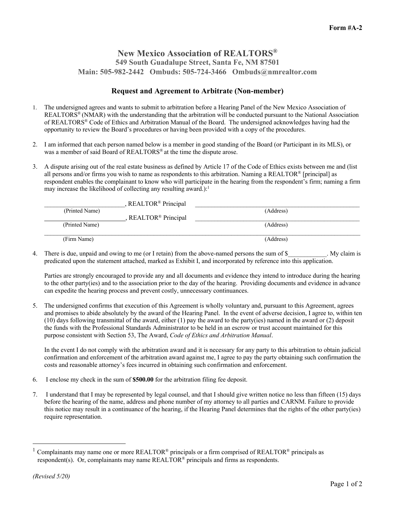## **New Mexico Association of REALTORS® 549 South Guadalupe Street, Santa Fe, NM 87501 Main: 505-982-2442 Ombuds: 505-724-3466 Ombuds@nmrealtor.com**

## **Request and Agreement to Arbitrate (Non-member)**

- 1. The undersigned agrees and wants to submit to arbitration before a Hearing Panel of the New Mexico Association of REALTORS® (NMAR) with the understanding that the arbitration will be conducted pursuant to the National Association of REALTORS® Code of Ethics and Arbitration Manual of the Board. The undersigned acknowledges having had the opportunity to review the Board's procedures or having been provided with a copy of the procedures.
- 2. I am informed that each person named below is a member in good standing of the Board (or Participant in its MLS), or was a member of said Board of REALTORS<sup>®</sup> at the time the dispute arose.
- 3. A dispute arising out of the real estate business as defined by Article 17 of the Code of Ethics exists between me and (list all persons and/or firms you wish to name as respondents to this arbitration. Naming a REALTOR® [principal] as respondent enables the complainant to know who will participate in the hearing from the respondent's firm; naming a firm may increase the likelihood of collecting any resulting award.):

|                | , REALTOR <sup>®</sup> Principal |           |
|----------------|----------------------------------|-----------|
| (Printed Name) |                                  | (Address) |
|                | REALTOR <sup>®</sup> Principal   |           |
| (Printed Name) |                                  | (Address) |
|                |                                  |           |
| (Firm Name)    |                                  | (Address) |

4. There is due, unpaid and owing to me (or I retain) from the above-named persons the sum of \$ . My claim is predicated upon the statement attached, marked as Exhibit I, and incorporated by reference into this application.

Parties are strongly encouraged to provide any and all documents and evidence they intend to introduce during the hearing to the other party(ies) and to the association prior to the day of the hearing. Providing documents and evidence in advance can expedite the hearing process and prevent costly, unnecessary continuances.

5. The undersigned confirms that execution of this Agreement is wholly voluntary and, pursuant to this Agreement, agrees and promises to abide absolutely by the award of the Hearing Panel. In the event of adverse decision, I agree to, within ten (10) days following transmittal of the award, either (1) pay the award to the party(ies) named in the award or (2) deposit the funds with the Professional Standards Administrator to be held in an escrow or trust account maintained for this purpose consistent with Section 53, The Award, *Code of Ethics and Arbitration Manual*.

In the event I do not comply with the arbitration award and it is necessary for any party to this arbitration to obtain judicial confirmation and enforcement of the arbitration award against me, I agree to pay the party obtaining such confirmation the costs and reasonable attorney's fees incurred in obtaining such confirmation and enforcement.

- 6. I enclose my check in the sum of **\$500.00** for the arbitration filing fee deposit.
- 7. I understand that I may be represented by legal counsel, and that I should give written notice no less than fifteen (15) days before the hearing of the name, address and phone number of my attorney to all parties and CARNM. Failure to provide this notice may result in a continuance of the hearing, if the Hearing Panel determines that the rights of the other party(ies) require representation.

 $1$  Complainants may name one or more REALTOR® principals or a firm comprised of REALTOR® principals as respondent(s). Or, complainants may name REALTOR® principals and firms as respondents.